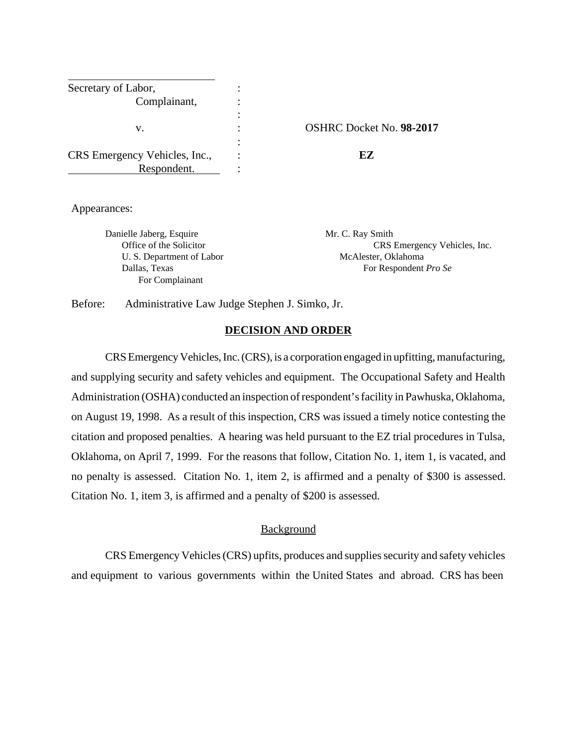| Secretary of Labor,           |                    |
|-------------------------------|--------------------|
| Complainant,                  |                    |
|                               |                    |
|                               |                    |
| v.                            | <b>OSHRC</b> Docke |
|                               |                    |
| CRS Emergency Vehicles, Inc., | FZ                 |
| Respondent.                   |                    |

v. : OSHRC Docket No. **98-2017**

Appearances:

Danielle Jaberg, Esquire Mr. C. Ray Smith U. S. Department of Labor McAlester, Oklahoma For Complainant

Office of the Solicitor CRS Emergency Vehicles, Inc. Dallas, Texas For Respondent *Pro Se* 

Before: Administrative Law Judge Stephen J. Simko, Jr.

#### **DECISION AND ORDER**

CRS Emergency Vehicles, Inc. (CRS), is a corporation engaged in upfitting, manufacturing, and supplying security and safety vehicles and equipment. The Occupational Safety and Health Administration (OSHA) conducted an inspection of respondent's facility in Pawhuska, Oklahoma, on August 19, 1998. As a result of this inspection, CRS was issued a timely notice contesting the citation and proposed penalties. A hearing was held pursuant to the EZ trial procedures in Tulsa, Oklahoma, on April 7, 1999. For the reasons that follow, Citation No. 1, item 1, is vacated, and no penalty is assessed. Citation No. 1, item 2, is affirmed and a penalty of \$300 is assessed. Citation No. 1, item 3, is affirmed and a penalty of \$200 is assessed.

#### Background

CRS Emergency Vehicles (CRS) upfits, produces and supplies security and safety vehicles and equipment to various governments within the United States and abroad. CRS has been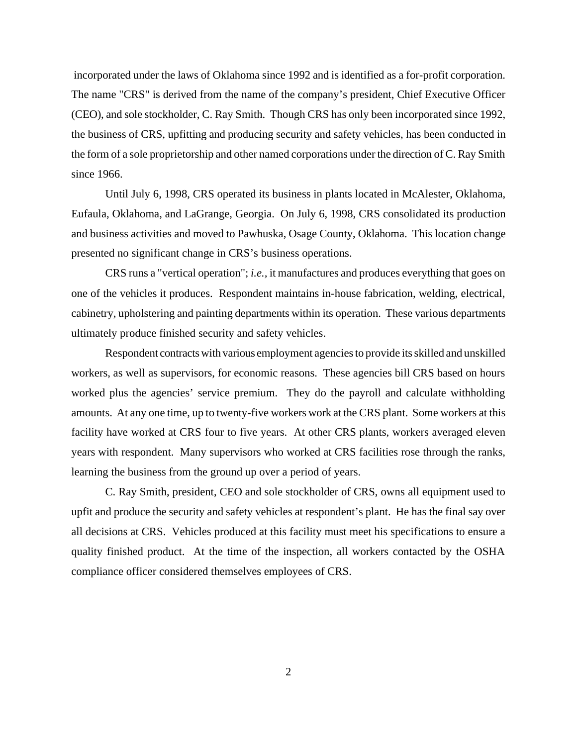incorporated under the laws of Oklahoma since 1992 and is identified as a for-profit corporation. The name "CRS" is derived from the name of the company's president, Chief Executive Officer (CEO), and sole stockholder, C. Ray Smith. Though CRS has only been incorporated since 1992, the business of CRS, upfitting and producing security and safety vehicles, has been conducted in the form of a sole proprietorship and other named corporations under the direction of C. Ray Smith since 1966.

Until July 6, 1998, CRS operated its business in plants located in McAlester, Oklahoma, Eufaula, Oklahoma, and LaGrange, Georgia. On July 6, 1998, CRS consolidated its production and business activities and moved to Pawhuska, Osage County, Oklahoma. This location change presented no significant change in CRS's business operations.

CRS runs a "vertical operation"; *i.e.,* it manufactures and produces everything that goes on one of the vehicles it produces. Respondent maintains in-house fabrication, welding, electrical, cabinetry, upholstering and painting departments within its operation. These various departments ultimately produce finished security and safety vehicles.

Respondent contracts with various employment agencies to provide its skilled and unskilled workers, as well as supervisors, for economic reasons. These agencies bill CRS based on hours worked plus the agencies' service premium. They do the payroll and calculate withholding amounts. At any one time, up to twenty-five workers work at the CRS plant. Some workers at this facility have worked at CRS four to five years. At other CRS plants, workers averaged eleven years with respondent. Many supervisors who worked at CRS facilities rose through the ranks, learning the business from the ground up over a period of years.

C. Ray Smith, president, CEO and sole stockholder of CRS, owns all equipment used to upfit and produce the security and safety vehicles at respondent's plant. He has the final say over all decisions at CRS. Vehicles produced at this facility must meet his specifications to ensure a quality finished product. At the time of the inspection, all workers contacted by the OSHA compliance officer considered themselves employees of CRS.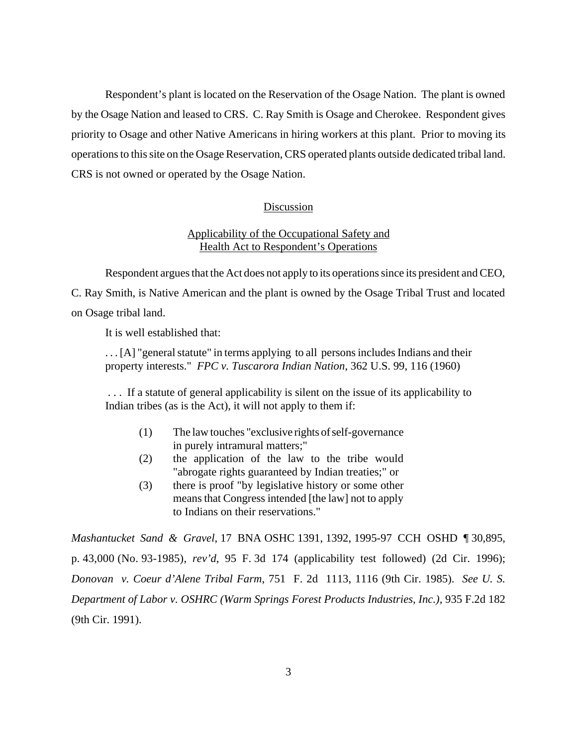Respondent's plant is located on the Reservation of the Osage Nation. The plant is owned by the Osage Nation and leased to CRS. C. Ray Smith is Osage and Cherokee. Respondent gives priority to Osage and other Native Americans in hiring workers at this plant. Prior to moving its operations to this site on the Osage Reservation, CRS operated plants outside dedicated tribal land. CRS is not owned or operated by the Osage Nation.

#### Discussion

# Applicability of the Occupational Safety and Health Act to Respondent's Operations

Respondent argues that the Act does not apply to its operations since its president and CEO, C. Ray Smith, is Native American and the plant is owned by the Osage Tribal Trust and located

on Osage tribal land.

It is well established that:

. . . [A] "general statute" in terms applying to all persons includes Indians and their property interests." *FPC v. Tuscarora Indian Nation*, 362 U.S. 99, 116 (1960)

 . . . If a statute of general applicability is silent on the issue of its applicability to Indian tribes (as is the Act), it will not apply to them if:

- (1) The law touches "exclusive rights of self-governance in purely intramural matters;"
- (2) the application of the law to the tribe would "abrogate rights guaranteed by Indian treaties;" or
- (3) there is proof "by legislative history or some other means that Congress intended [the law] not to apply to Indians on their reservations."

*Mashantucket Sand & Gravel*, 17 BNA OSHC 1391, 1392, 1995-97 CCH OSHD ¶ 30,895, p. 43,000 (No. 93-1985), *rev'd*, 95 F. 3d 174 (applicability test followed) (2d Cir. 1996); *Donovan v. Coeur d'Alene Tribal Farm*, 751 F. 2d 1113, 1116 (9th Cir. 1985). *See U. S. Department of Labor v. OSHRC (Warm Springs Forest Products Industries, Inc.), 935 F.2d 182* (9th Cir. 1991).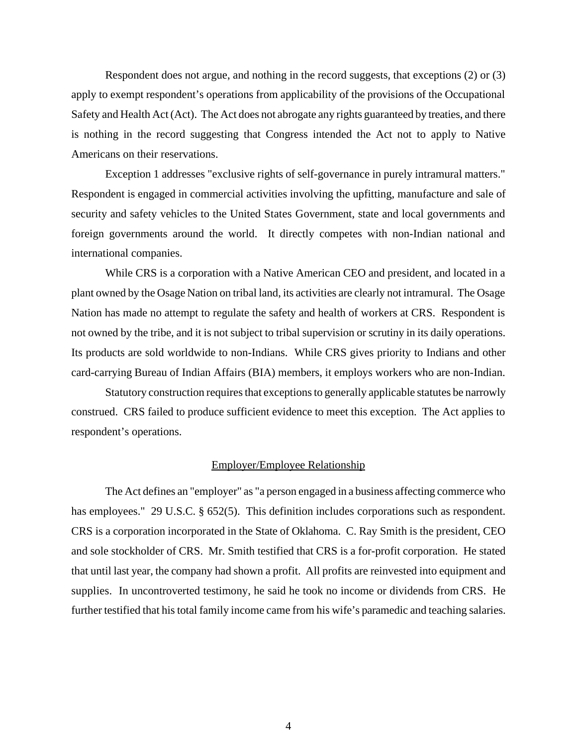Respondent does not argue, and nothing in the record suggests, that exceptions (2) or (3) apply to exempt respondent's operations from applicability of the provisions of the Occupational Safety and Health Act (Act). The Act does not abrogate any rights guaranteed by treaties, and there is nothing in the record suggesting that Congress intended the Act not to apply to Native Americans on their reservations.

Exception 1 addresses "exclusive rights of self-governance in purely intramural matters." Respondent is engaged in commercial activities involving the upfitting, manufacture and sale of security and safety vehicles to the United States Government, state and local governments and foreign governments around the world. It directly competes with non-Indian national and international companies.

While CRS is a corporation with a Native American CEO and president, and located in a plant owned by the Osage Nation on tribal land, its activities are clearly not intramural. The Osage Nation has made no attempt to regulate the safety and health of workers at CRS. Respondent is not owned by the tribe, and it is not subject to tribal supervision or scrutiny in its daily operations. Its products are sold worldwide to non-Indians. While CRS gives priority to Indians and other card-carrying Bureau of Indian Affairs (BIA) members, it employs workers who are non-Indian.

Statutory construction requires that exceptions to generally applicable statutes be narrowly construed. CRS failed to produce sufficient evidence to meet this exception. The Act applies to respondent's operations.

## Employer/Employee Relationship

The Act defines an "employer" as "a person engaged in a business affecting commerce who has employees." 29 U.S.C. § 652(5). This definition includes corporations such as respondent. CRS is a corporation incorporated in the State of Oklahoma. C. Ray Smith is the president, CEO and sole stockholder of CRS. Mr. Smith testified that CRS is a for-profit corporation. He stated that until last year, the company had shown a profit. All profits are reinvested into equipment and supplies. In uncontroverted testimony, he said he took no income or dividends from CRS. He further testified that his total family income came from his wife's paramedic and teaching salaries.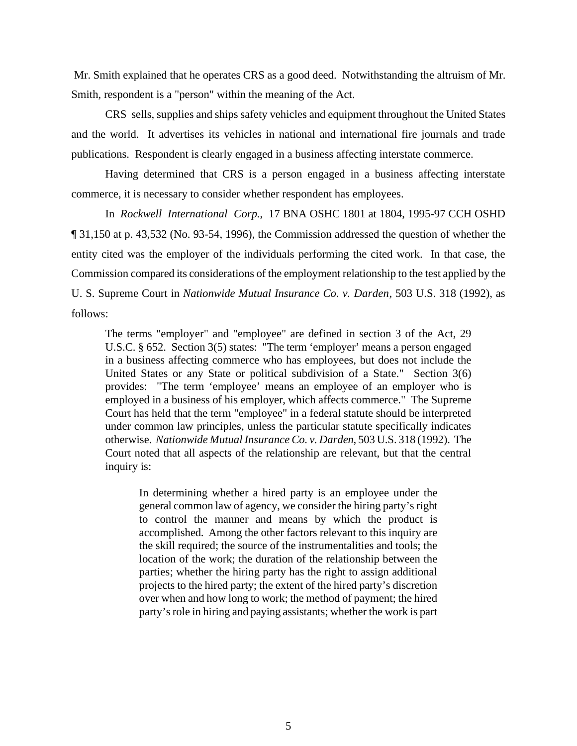Mr. Smith explained that he operates CRS as a good deed. Notwithstanding the altruism of Mr. Smith, respondent is a "person" within the meaning of the Act.

CRS sells, supplies and ships safety vehicles and equipment throughout the United States and the world. It advertises its vehicles in national and international fire journals and trade publications. Respondent is clearly engaged in a business affecting interstate commerce.

Having determined that CRS is a person engaged in a business affecting interstate commerce, it is necessary to consider whether respondent has employees.

In *Rockwell International Corp.*, 17 BNA OSHC 1801 at 1804, 1995-97 CCH OSHD ¶ 31,150 at p. 43,532 (No. 93-54, 1996), the Commission addressed the question of whether the entity cited was the employer of the individuals performing the cited work. In that case, the Commission compared its considerations of the employment relationship to the test applied by the U. S. Supreme Court in *Nationwide Mutual Insurance Co. v. Darden*, 503 U.S. 318 (1992), as follows:

The terms "employer" and "employee" are defined in section 3 of the Act, 29 U.S.C. § 652. Section 3(5) states: "The term 'employer' means a person engaged in a business affecting commerce who has employees, but does not include the United States or any State or political subdivision of a State." Section 3(6) provides: "The term 'employee' means an employee of an employer who is employed in a business of his employer, which affects commerce." The Supreme Court has held that the term "employee" in a federal statute should be interpreted under common law principles, unless the particular statute specifically indicates otherwise. *Nationwide Mutual Insurance Co. v. Darden*, 503 U.S. 318 (1992). The Court noted that all aspects of the relationship are relevant, but that the central inquiry is:

In determining whether a hired party is an employee under the general common law of agency, we consider the hiring party's right to control the manner and means by which the product is accomplished. Among the other factors relevant to this inquiry are the skill required; the source of the instrumentalities and tools; the location of the work; the duration of the relationship between the parties; whether the hiring party has the right to assign additional projects to the hired party; the extent of the hired party's discretion over when and how long to work; the method of payment; the hired party's role in hiring and paying assistants; whether the work is part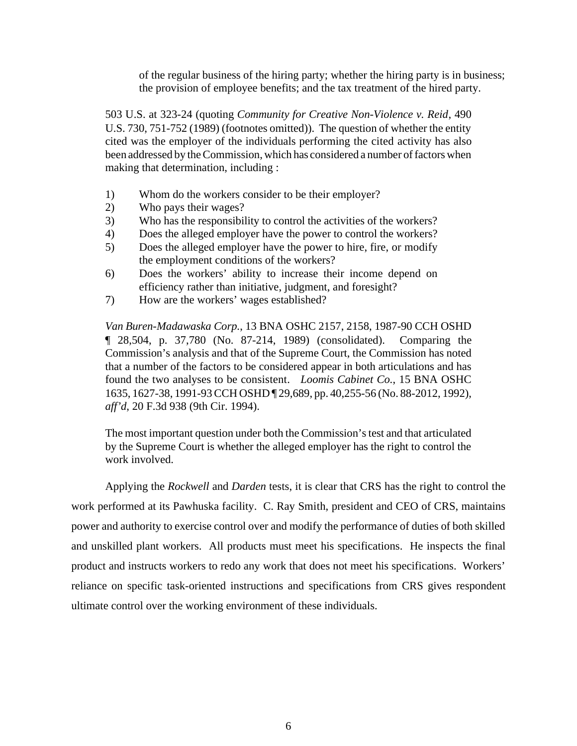of the regular business of the hiring party; whether the hiring party is in business; the provision of employee benefits; and the tax treatment of the hired party.

503 U.S. at 323-24 (quoting *Community for Creative Non-Violence v. Reid*, 490 U.S. 730, 751-752 (1989) (footnotes omitted)). The question of whether the entity cited was the employer of the individuals performing the cited activity has also been addressed by the Commission, which has considered a number of factors when making that determination, including :

- 1) Whom do the workers consider to be their employer?
- 2) Who pays their wages?
- 3) Who has the responsibility to control the activities of the workers?
- 4) Does the alleged employer have the power to control the workers?
- 5) Does the alleged employer have the power to hire, fire, or modify the employment conditions of the workers?
- 6) Does the workers' ability to increase their income depend on efficiency rather than initiative, judgment, and foresight?
- 7) How are the workers' wages established?

*Van Buren-Madawaska Corp.*, 13 BNA OSHC 2157, 2158, 1987-90 CCH OSHD ¶ 28,504, p. 37,780 (No. 87-214, 1989) (consolidated). Comparing the Commission's analysis and that of the Supreme Court, the Commission has noted that a number of the factors to be considered appear in both articulations and has found the two analyses to be consistent. *Loomis Cabinet Co.*, 15 BNA OSHC 1635, 1627-38, 1991-93 CCH OSHD ¶ 29,689, pp. 40,255-56 (No. 88-2012, 1992), *aff'd*, 20 F.3d 938 (9th Cir. 1994).

The most important question under both the Commission's test and that articulated by the Supreme Court is whether the alleged employer has the right to control the work involved.

Applying the *Rockwell* and *Darden* tests, it is clear that CRS has the right to control the work performed at its Pawhuska facility. C. Ray Smith, president and CEO of CRS, maintains power and authority to exercise control over and modify the performance of duties of both skilled and unskilled plant workers. All products must meet his specifications. He inspects the final product and instructs workers to redo any work that does not meet his specifications. Workers' reliance on specific task-oriented instructions and specifications from CRS gives respondent ultimate control over the working environment of these individuals.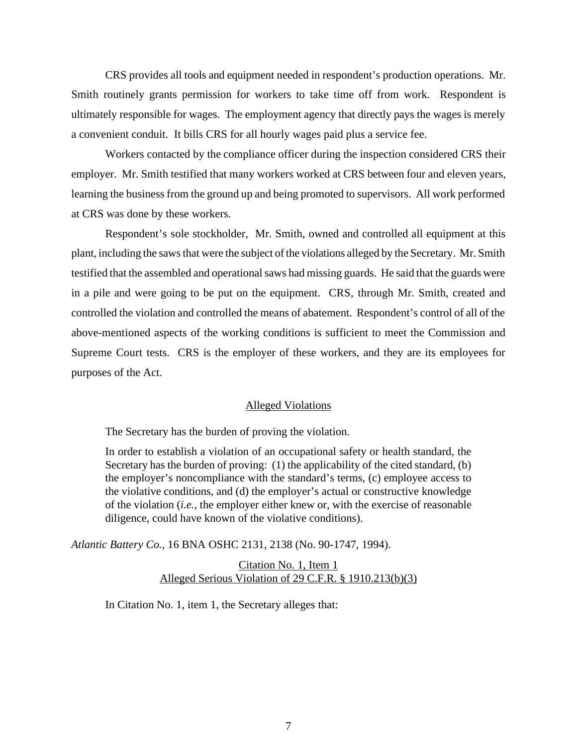CRS provides all tools and equipment needed in respondent's production operations. Mr. Smith routinely grants permission for workers to take time off from work. Respondent is ultimately responsible for wages. The employment agency that directly pays the wages is merely a convenient conduit. It bills CRS for all hourly wages paid plus a service fee.

Workers contacted by the compliance officer during the inspection considered CRS their employer. Mr. Smith testified that many workers worked at CRS between four and eleven years, learning the business from the ground up and being promoted to supervisors. All work performed at CRS was done by these workers.

Respondent's sole stockholder, Mr. Smith, owned and controlled all equipment at this plant, including the saws that were the subject of the violations alleged by the Secretary. Mr. Smith testified that the assembled and operational saws had missing guards. He said that the guards were in a pile and were going to be put on the equipment. CRS, through Mr. Smith, created and controlled the violation and controlled the means of abatement. Respondent's control of all of the above-mentioned aspects of the working conditions is sufficient to meet the Commission and Supreme Court tests. CRS is the employer of these workers, and they are its employees for purposes of the Act.

#### Alleged Violations

The Secretary has the burden of proving the violation.

In order to establish a violation of an occupational safety or health standard, the Secretary has the burden of proving: (1) the applicability of the cited standard, (b) the employer's noncompliance with the standard's terms, (c) employee access to the violative conditions, and (d) the employer's actual or constructive knowledge of the violation (*i.e.*, the employer either knew or, with the exercise of reasonable diligence, could have known of the violative conditions).

*Atlantic Battery Co.*, 16 BNA OSHC 2131, 2138 (No. 90-1747, 1994).

Citation No. 1, Item 1 Alleged Serious Violation of 29 C.F.R. § 1910.213(b)(3)

In Citation No. 1, item 1, the Secretary alleges that: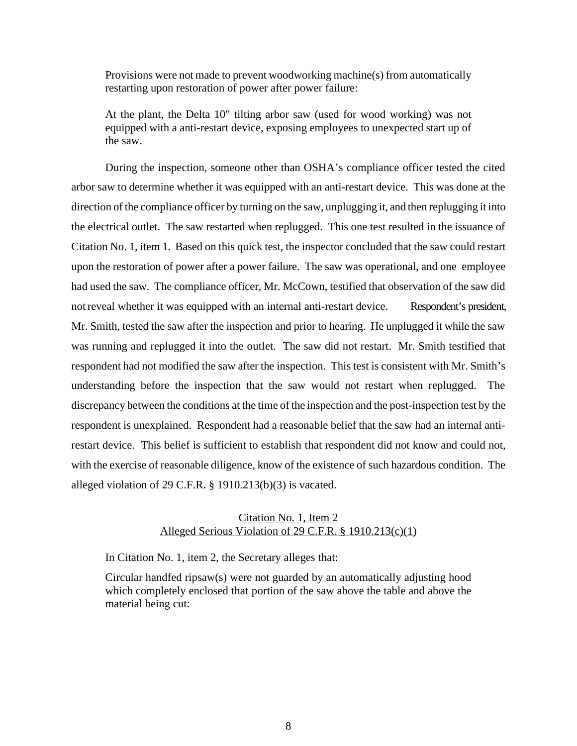Provisions were not made to prevent woodworking machine(s) from automatically restarting upon restoration of power after power failure:

At the plant, the Delta 10" tilting arbor saw (used for wood working) was not equipped with a anti-restart device, exposing employees to unexpected start up of the saw.

During the inspection, someone other than OSHA's compliance officer tested the cited arbor saw to determine whether it was equipped with an anti-restart device. This was done at the direction of the compliance officer by turning on the saw, unplugging it, and then replugging it into the electrical outlet. The saw restarted when replugged. This one test resulted in the issuance of Citation No. 1, item 1. Based on this quick test, the inspector concluded that the saw could restart upon the restoration of power after a power failure. The saw was operational, and one employee had used the saw. The compliance officer, Mr. McCown, testified that observation of the saw did not reveal whether it was equipped with an internal anti-restart device. Respondent's president, Mr. Smith, tested the saw after the inspection and prior to hearing. He unplugged it while the saw was running and replugged it into the outlet. The saw did not restart. Mr. Smith testified that respondent had not modified the saw after the inspection. This test is consistent with Mr. Smith's understanding before the inspection that the saw would not restart when replugged. The discrepancy between the conditions at the time of the inspection and the post-inspection test by the respondent is unexplained. Respondent had a reasonable belief that the saw had an internal antirestart device. This belief is sufficient to establish that respondent did not know and could not, with the exercise of reasonable diligence, know of the existence of such hazardous condition. The alleged violation of 29 C.F.R. § 1910.213(b)(3) is vacated.

# Citation No. 1, Item 2 Alleged Serious Violation of 29 C.F.R. § 1910.213(c)(1)

In Citation No. 1, item 2, the Secretary alleges that:

Circular handfed ripsaw(s) were not guarded by an automatically adjusting hood which completely enclosed that portion of the saw above the table and above the material being cut: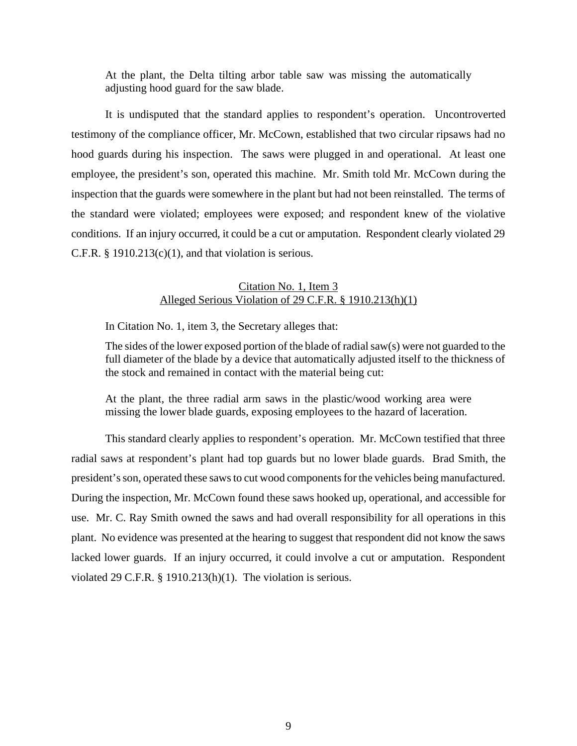At the plant, the Delta tilting arbor table saw was missing the automatically adjusting hood guard for the saw blade.

It is undisputed that the standard applies to respondent's operation. Uncontroverted testimony of the compliance officer, Mr. McCown, established that two circular ripsaws had no hood guards during his inspection. The saws were plugged in and operational. At least one employee, the president's son, operated this machine. Mr. Smith told Mr. McCown during the inspection that the guards were somewhere in the plant but had not been reinstalled. The terms of the standard were violated; employees were exposed; and respondent knew of the violative conditions. If an injury occurred, it could be a cut or amputation. Respondent clearly violated 29 C.F.R.  $\S$  1910.213(c)(1), and that violation is serious.

## Citation No. 1, Item 3 Alleged Serious Violation of 29 C.F.R. § 1910.213(h)(1)

In Citation No. 1, item 3, the Secretary alleges that:

The sides of the lower exposed portion of the blade of radial saw(s) were not guarded to the full diameter of the blade by a device that automatically adjusted itself to the thickness of the stock and remained in contact with the material being cut:

At the plant, the three radial arm saws in the plastic/wood working area were missing the lower blade guards, exposing employees to the hazard of laceration.

This standard clearly applies to respondent's operation. Mr. McCown testified that three radial saws at respondent's plant had top guards but no lower blade guards. Brad Smith, the president's son, operated these saws to cut wood components for the vehicles being manufactured. During the inspection, Mr. McCown found these saws hooked up, operational, and accessible for use. Mr. C. Ray Smith owned the saws and had overall responsibility for all operations in this plant. No evidence was presented at the hearing to suggest that respondent did not know the saws lacked lower guards. If an injury occurred, it could involve a cut or amputation. Respondent violated 29 C.F.R. § 1910.213(h)(1). The violation is serious.